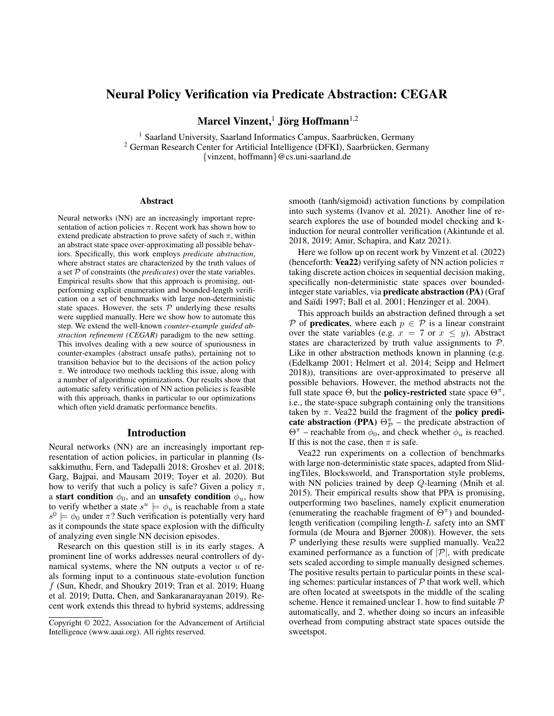# Neural Policy Verification via Predicate Abstraction: CEGAR

Marcel Vinzent, $^1$  Jörg Hoffmann $^{1,2}$ 

<sup>1</sup> Saarland University, Saarland Informatics Campus, Saarbrücken, Germany <sup>2</sup> German Research Center for Artificial Intelligence (DFKI), Saarbrücken, Germany {vinzent, hoffmann}@cs.uni-saarland.de

#### Abstract

Neural networks (NN) are an increasingly important representation of action policies  $\pi$ . Recent work has shown how to extend predicate abstraction to prove safety of such  $\pi$ , within an abstract state space over-approximating all possible behaviors. Specifically, this work employs *predicate abstraction*, where abstract states are characterized by the truth values of a set P of constraints (the *predicates*) over the state variables. Empirical results show that this approach is promising, outperforming explicit enumeration and bounded-length verification on a set of benchmarks with large non-deterministic state spaces. However, the sets  $P$  underlying these results were supplied manually. Here we show how to automate this step. We extend the well-known *counter-example guided abstraction refinement (CEGAR)* paradigm to the new setting. This involves dealing with a new source of spuriousness in counter-examples (abstract unsafe paths), pertaining not to transition behavior but to the decisions of the action policy  $\pi$ . We introduce two methods tackling this issue, along with a number of algorithmic optimizations. Our results show that automatic safety verification of NN action policies is feasible with this approach, thanks in particular to our optimizations which often yield dramatic performance benefits.

### Introduction

Neural networks (NN) are an increasingly important representation of action policies, in particular in planning (Issakkimuthu, Fern, and Tadepalli 2018; Groshev et al. 2018; Garg, Bajpai, and Mausam 2019; Toyer et al. 2020). But how to verify that such a policy is safe? Given a policy  $\pi$ , a start condition  $\phi_0$ , and an unsafety condition  $\phi_u$ , how to verify whether a state  $s^u \models \phi_u$  is reachable from a state  $s^0 \models \phi_0$  under  $\pi$ ? Such verification is potentially very hard as it compounds the state space explosion with the difficulty of analyzing even single NN decision episodes.

Research on this question still is in its early stages. A prominent line of works addresses neural controllers of dynamical systems, where the NN outputs a vector  $u$  of reals forming input to a continuous state-evolution function f (Sun, Khedr, and Shoukry 2019; Tran et al. 2019; Huang et al. 2019; Dutta, Chen, and Sankaranarayanan 2019). Recent work extends this thread to hybrid systems, addressing

smooth (tanh/sigmoid) activation functions by compilation into such systems (Ivanov et al. 2021). Another line of research explores the use of bounded model checking and kinduction for neural controller verification (Akintunde et al. 2018, 2019; Amir, Schapira, and Katz 2021).

Here we follow up on recent work by Vinzent et al. (2022) (henceforth: Vea22) verifying safety of NN action policies  $\pi$ taking discrete action choices in sequential decision making, specifically non-deterministic state spaces over boundedinteger state variables, via predicate abstraction (PA) (Graf and Saïdi 1997; Ball et al. 2001; Henzinger et al. 2004).

This approach builds an abstraction defined through a set P of **predicates**, where each  $p \in \mathcal{P}$  is a linear constraint over the state variables (e.g.  $x = 7$  or  $x \le y$ ). Abstract states are characterized by truth value assignments to P. Like in other abstraction methods known in planning (e.g. (Edelkamp 2001; Helmert et al. 2014; Seipp and Helmert 2018)), transitions are over-approximated to preserve all possible behaviors. However, the method abstracts not the full state space  $\Theta$ , but the **policy-restricted** state space  $\Theta^{\pi}$ , i.e., the state-space subgraph containing only the transitions taken by  $\pi$ . Vea22 build the fragment of the **policy predi**cate abstraction (PPA)  $\Theta_{\mathcal{P}}^{\pi}$  – the predicate abstraction of  $\Theta^{\pi}$  – reachable from  $\phi_0$ , and check whether  $\phi_u$  is reached. If this is not the case, then  $\pi$  is safe.

Vea22 run experiments on a collection of benchmarks with large non-deterministic state spaces, adapted from SlidingTiles, Blocksworld, and Transportation style problems, with NN policies trained by deep Q-learning (Mnih et al. 2015). Their empirical results show that PPA is promising, outperforming two baselines, namely explicit enumeration (enumerating the reachable fragment of  $\Theta^{\pi}$ ) and boundedlength verification (compiling length-L safety into an SMT formula (de Moura and Bjørner 2008)). However, the sets  $P$  underlying these results were supplied manually. Vea22 examined performance as a function of  $|\mathcal{P}|$ , with predicate sets scaled according to simple manually designed schemes. The positive results pertain to particular points in these scaling schemes: particular instances of  $P$  that work well, which are often located at sweetspots in the middle of the scaling scheme. Hence it remained unclear 1. how to find suitable P automatically, and 2. whether doing so incurs an infeasible overhead from computing abstract state spaces outside the sweetspot.

Copyright © 2022, Association for the Advancement of Artificial Intelligence (www.aaai.org). All rights reserved.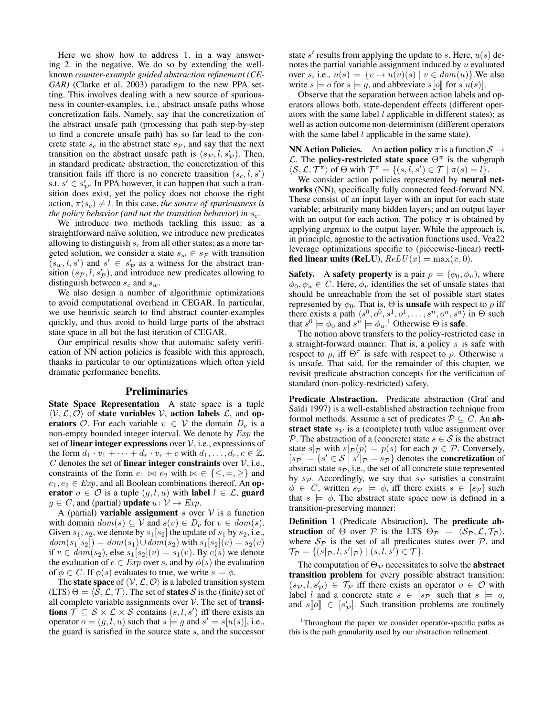Here we show how to address 1. in a way answering 2. in the negative. We do so by extending the wellknown *counter-example guided abstraction refinement (CE-GAR)* (Clarke et al. 2003) paradigm to the new PPA setting. This involves dealing with a new source of spuriousness in counter-examples, i.e., abstract unsafe paths whose concretization fails. Namely, say that the concretization of the abstract unsafe path (processing that path step-by-step to find a concrete unsafe path) has so far lead to the concrete state  $s_c$  in the abstract state  $s_p$ , and say that the next transition on the abstract unsafe path is  $(s_{\mathcal{P}}, l, s'_{\mathcal{P}})$ . Then, in standard predicate abstraction, the concretization of this transition fails iff there is no concrete transition  $(s_c, l, s')$ s.t.  $s' \in s'_{\mathcal{P}}$ . In PPA however, it can happen that such a transition does exist, yet the policy does not choose the right action,  $\pi(s_c) \neq l$ . In this case, *the source of spuriousness is the policy behavior (and not the transition behavior) in*  $s_c$ .

We introduce two methods tackling this issue: as a straightforward naïve solution, we introduce new predicates allowing to distinguish  $s_c$  from all other states; as a more targeted solution, we consider a state  $s_w \in s_{\mathcal{P}}$  with transition  $(s_w, l, s')$  and  $s' \in s'_{\mathcal{P}}$  as a witness for the abstract transition  $(s_{\mathcal{P}}, l, s_{\mathcal{P}}')$ , and introduce new predicates allowing to distinguish between  $s_c$  and  $s_w$ .

We also design a number of algorithmic optimizations to avoid computational overhead in CEGAR. In particular, we use heuristic search to find abstract counter-examples quickly, and thus avoid to build large parts of the abstract state space in all but the last iteration of CEGAR.

Our empirical results show that automatic safety verification of NN action policies is feasible with this approach, thanks in particular to our optimizations which often yield dramatic performance benefits.

#### Preliminaries

State Space Representation A state space is a tuple  $\langle V, \mathcal{L}, \mathcal{O} \rangle$  of state variables V, action labels  $\mathcal{L}$ , and operators  $\mathcal{O}$ . For each variable  $v \in \mathcal{V}$  the domain  $D_v$  is a non-empty bounded integer interval. We denote by Exp the set of linear integer expressions over  $\mathcal{V}$ , i.e., expressions of the form  $d_1 \cdot v_1 + \cdots + d_r \cdot v_r + c$  with  $d_1, \ldots, d_r, c \in \mathbb{Z}$ . C denotes the set of linear integer constraints over  $V$ , i.e., constraints of the form  $e_1 \bowtie e_2$  with  $\bowtie \in \{\leq, =, \geq\}$  and  $e_1, e_2 \in Exp$ , and all Boolean combinations thereof. An operator  $o \in \mathcal{O}$  is a tuple  $(q, l, u)$  with label  $l \in \mathcal{L}$ , guard  $g \in C$ , and (partial) **update**  $u: V \rightarrow Exp$ .

A (partial) **variable assignment** s over  $V$  is a function with domain  $dom(s) \subseteq V$  and  $s(v) \in D_v$  for  $v \in dom(s)$ . Given  $s_1, s_2$ , we denote by  $s_1[s_2]$  the update of  $s_1$  by  $s_2$ , i.e.,  $dom(s_1[s_2]) = dom(s_1) \cup dom(s_2)$  with  $s_1[s_2](v) = s_2(v)$ if  $v \in dom(s_2)$ , else  $s_1[s_2](v) = s_1(v)$ . By  $e(s)$  we denote the evaluation of  $e \in Exp$  over s, and by  $\phi(s)$  the evaluation of  $\phi \in C$ . If  $\phi(s)$  evaluates to true, we write  $s \models \phi$ .

The **state space** of  $\langle V, \mathcal{L}, \mathcal{O} \rangle$  is a labeled transition system  $(LTS) \Theta = \langle S, \mathcal{L}, \mathcal{T} \rangle$ . The set of states S is the (finite) set of all complete variable assignments over  $V$ . The set of **transi**tions  $\overline{\mathcal{T}} \subseteq \mathcal{S} \times \mathcal{L} \times \mathcal{S}$  contains  $(s, l, s')$  iff there exists an operator  $o = (g, l, u)$  such that  $s \models g$  and  $s' = s[u(s)]$ , i.e., the guard is satisfied in the source state s, and the successor

state s' results from applying the update to s. Here,  $u(s)$  denotes the partial variable assignment induced by  $u$  evaluated over s, i.e.,  $u(s) = \{v \mapsto u(v)(s) \mid v \in dom(u)\}$ . We also write  $s \models o$  for  $s \models g$ , and abbreviate  $s \not\parallel o \parallel$  for  $s[u(s)]$ .

Observe that the separation between action labels and operators allows both, state-dependent effects (different operators with the same label  $l$  applicable in different states); as well as action outcome non-determinism (different operators with the same label  $l$  applicable in the same state).

**NN Action Policies.** An action policy  $\pi$  is a function  $S \rightarrow$ L. The **policy-restricted state space**  $\Theta^{\pi}$  is the subgraph  $\langle S, \mathcal{L}, \mathcal{T}^{\pi} \rangle$  of  $\Theta$  with  $\mathcal{T}^{\pi} = \{(s, \overline{l}, s') \in \mathcal{T} \mid \pi(s) = l\}.$ 

We consider action policies represented by neural networks (NN), specifically fully connected feed-forward NN. These consist of an input layer with an input for each state variable; arbitrarily many hidden layers; and an output layer with an output for each action. The policy  $\pi$  is obtained by applying argmax to the output layer. While the approach is, in principle, agnostic to the activation functions used, Vea22 leverage optimizations specific to (piecewise-linear) rectified linear units (ReLU),  $ReLU(x) = max(x, 0)$ .

**Safety.** A **safety property** is a pair  $\rho = (\phi_0, \phi_u)$ , where  $\phi_0, \phi_u \in C$ . Here,  $\phi_u$  identifies the set of unsafe states that should be unreachable from the set of possible start states represented by  $\phi_0$ . That is,  $\Theta$  is **unsafe** with respect to  $\rho$  iff there exists a path  $\langle s^0, o^0, s^1, o^1, \ldots, s^n, o^n, s^u \rangle$  in  $\Theta$  such that  $s^0 \models \phi_0$  and  $s^u \models \phi_u$ .<sup>1</sup> Otherwise  $\Theta$  is **safe**.

The notion above transfers to the policy-restricted case in a straight-forward manner. That is, a policy  $\pi$  is safe with respect to  $\rho$ , iff  $\Theta^{\pi}$  is safe with respect to  $\rho$ . Otherwise  $\pi$ is unsafe. That said, for the remainder of this chapter, we revisit predicate abstraction concepts for the verification of standard (non-policy-restricted) safety.

Predicate Abstraction. Predicate abstraction (Graf and Saïdi 1997) is a well-established abstraction technique from formal methods. Assume a set of predicates  $P \subseteq C$ . An abstract state  $s_{\mathcal{P}}$  is a (complete) truth value assignment over P. The abstraction of a (concrete) state  $s \in S$  is the abstract state  $s|_{\mathcal{P}}$  with  $s|_{\mathcal{P}} (p) = p(s)$  for each  $p \in \mathcal{P}$ . Conversely,  $[s_{\mathcal{P}}] = \{s' \in \mathcal{S} \mid s' | \mathcal{P} = s_{\mathcal{P}}\}\$  denotes the **concretization** of abstract state  $s_{\mathcal{P}}$ , i.e., the set of all concrete state represented by  $s_{\mathcal{P}}$ . Accordingly, we say that  $s_{\mathcal{P}}$  satisfies a constraint  $\phi \in C$ , written  $s_{\mathcal{P}} \models \phi$ , iff there exists  $s \in [s_{\mathcal{P}}]$  such that  $s = \phi$ . The abstract state space now is defined in a transition-preserving manner:

Definition 1 (Predicate Abstraction). The predicate abstraction of  $\Theta$  over  $\mathcal P$  is the LTS  $\Theta_{\mathcal P} = \langle \mathcal S_{\mathcal P}, \mathcal L, \mathcal T_{\mathcal P} \rangle$ , where  $S_p$  is the set of all predicates states over  $P$ , and  $\mathcal{T}_{\mathcal{P}} = \{ (s|_{\mathcal{P}}, l, s'|_{\mathcal{P}}) \mid (s, l, s') \in \mathcal{T} \}.$ 

The computation of  $\Theta_{\mathcal{P}}$  necessitates to solve the **abstract** transition problem for every possible abstract transition:  $(s_{\mathcal{P}}, l, s'_{\mathcal{P}}) \in \mathcal{T}_{\mathcal{P}}$  iff there exists an operator  $o \in \mathcal{O}$  with label l and a concrete state  $s \in [s_{\mathcal{P}}]$  such that  $s \models o$ , and  $s[[o]] \in [s'_{\mathcal{P}}]$ . Such transition problems are routinely

<sup>1</sup>Throughout the paper we consider operator-specific paths as this is the path granularity used by our abstraction refinement.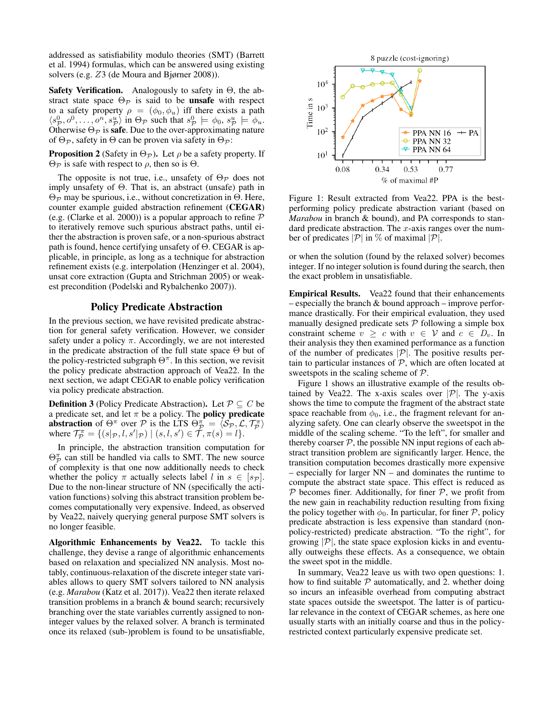addressed as satisfiability modulo theories (SMT) (Barrett et al. 1994) formulas, which can be answered using existing solvers (e.g. Z3 (de Moura and Bjørner 2008)).

**Safety Verification.** Analogously to safety in  $\Theta$ , the abstract state space  $\Theta_{\mathcal{P}}$  is said to be **unsafe** with respect to a safety property  $\rho = (\phi_0, \phi_u)$  iff there exists a path  $\langle s_p^0, o^0, \ldots, o^n, s_p^u \rangle$  in  $\Theta_{\mathcal{P}}$  such that  $s_p^0 \models \phi_0, s_p^u \models \phi_u$ . Otherwise  $\Theta_{\mathcal{P}}$  is safe. Due to the over-approximating nature of  $\Theta_{\mathcal{P}}$ , safety in  $\Theta$  can be proven via safety in  $\Theta_{\mathcal{P}}$ :

**Proposition 2** (Safety in  $\Theta_{\mathcal{P}}$ ). Let  $\rho$  be a safety property. If  $Θ$  is safe with respect to  $ρ$ , then so is  $Θ$ .

The opposite is not true, i.e., unsafety of  $\Theta_{\mathcal{P}}$  does not imply unsafety of Θ. That is, an abstract (unsafe) path in  $Θ$ <sub>*P*</sub> may be spurious, i.e., without concretization in  $Θ$ . Here, counter example guided abstraction refinement (CEGAR) (e.g. (Clarke et al. 2000)) is a popular approach to refine  $P$ to iteratively remove such spurious abstract paths, until either the abstraction is proven safe, or a non-spurious abstract path is found, hence certifying unsafety of  $\Theta$ . CEGAR is applicable, in principle, as long as a technique for abstraction refinement exists (e.g. interpolation (Henzinger et al. 2004), unsat core extraction (Gupta and Strichman 2005) or weakest precondition (Podelski and Rybalchenko 2007)).

### Policy Predicate Abstraction

In the previous section, we have revisited predicate abstraction for general safety verification. However, we consider safety under a policy  $\pi$ . Accordingly, we are not interested in the predicate abstraction of the full state space  $\Theta$  but of the policy-restricted subgraph  $\Theta^{\pi}$ . In this section, we revisit the policy predicate abstraction approach of Vea22. In the next section, we adapt CEGAR to enable policy verification via policy predicate abstraction.

**Definition 3** (Policy Predicate Abstraction). Let  $P \subseteq C$  be a predicate set, and let  $\pi$  be a policy. The **policy predicate** abstraction of  $\Theta^{\pi}$  over P is the LTS  $\Theta_{\mathcal{P}}^{\pi} = \langle S_{\mathcal{P}}, \mathcal{L}, \mathcal{T}_{\mathcal{P}}^{\pi} \rangle$ where  $\mathcal{T}_{\mathcal{P}}^{\pi} = \{ (s | \mathcal{P}, l, s' | \mathcal{P}) \mid (s, l, s') \in \mathcal{T}, \pi(s) = l \}.$ 

In principle, the abstraction transition computation for  $\Theta_{\mathcal{P}}^{\pi}$  can still be handled via calls to SMT. The new source of complexity is that one now additionally needs to check whether the policy  $\pi$  actually selects label l in  $s \in [s_{\mathcal{P}}]$ . Due to the non-linear structure of NN (specifically the activation functions) solving this abstract transition problem becomes computationally very expensive. Indeed, as observed by Vea22, naively querying general purpose SMT solvers is no longer feasible.

Algorithmic Enhancements by Vea22. To tackle this challenge, they devise a range of algorithmic enhancements based on relaxation and specialized NN analysis. Most notably, continuous-relaxation of the discrete integer state variables allows to query SMT solvers tailored to NN analysis (e.g. *Marabou* (Katz et al. 2017)). Vea22 then iterate relaxed transition problems in a branch & bound search; recursively branching over the state variables currently assigned to noninteger values by the relaxed solver. A branch is terminated once its relaxed (sub-)problem is found to be unsatisfiable,



Figure 1: Result extracted from Vea22. PPA is the bestperforming policy predicate abstraction variant (based on *Marabou* in branch & bound), and PA corresponds to standard predicate abstraction. The  $x$ -axis ranges over the number of predicates  $|\mathcal{P}|$  in % of maximal  $|\mathcal{P}|$ .

or when the solution (found by the relaxed solver) becomes integer. If no integer solution is found during the search, then the exact problem in unsatisfiable.

Empirical Results. Vea22 found that their enhancements – especially the branch & bound approach – improve performance drastically. For their empirical evaluation, they used manually designed predicate sets  $P$  following a simple box constraint scheme  $v \geq c$  with  $v \in V$  and  $c \in D_v$ . In their analysis they then examined performance as a function of the number of predicates  $|\mathcal{P}|$ . The positive results pertain to particular instances of  $P$ , which are often located at sweetspots in the scaling scheme of P.

Figure 1 shows an illustrative example of the results obtained by Vea22. The x-axis scales over  $|\mathcal{P}|$ . The y-axis shows the time to compute the fragment of the abstract state space reachable from  $\phi_0$ , i.e., the fragment relevant for analyzing safety. One can clearly observe the sweetspot in the middle of the scaling scheme. "To the left", for smaller and thereby coarser  $P$ , the possible NN input regions of each abstract transition problem are significantly larger. Hence, the transition computation becomes drastically more expensive – especially for larger NN – and dominates the runtime to compute the abstract state space. This effect is reduced as  $P$  becomes finer. Additionally, for finer  $P$ , we profit from the new gain in reachability reduction resulting from fixing the policy together with  $\phi_0$ . In particular, for finer P, policy predicate abstraction is less expensive than standard (nonpolicy-restricted) predicate abstraction. "To the right", for growing  $|\mathcal{P}|$ , the state space explosion kicks in and eventually outweighs these effects. As a consequence, we obtain the sweet spot in the middle.

In summary, Vea22 leave us with two open questions: 1. how to find suitable  $P$  automatically, and 2. whether doing so incurs an infeasible overhead from computing abstract state spaces outside the sweetspot. The latter is of particular relevance in the context of CEGAR schemes, as here one usually starts with an initially coarse and thus in the policyrestricted context particularly expensive predicate set.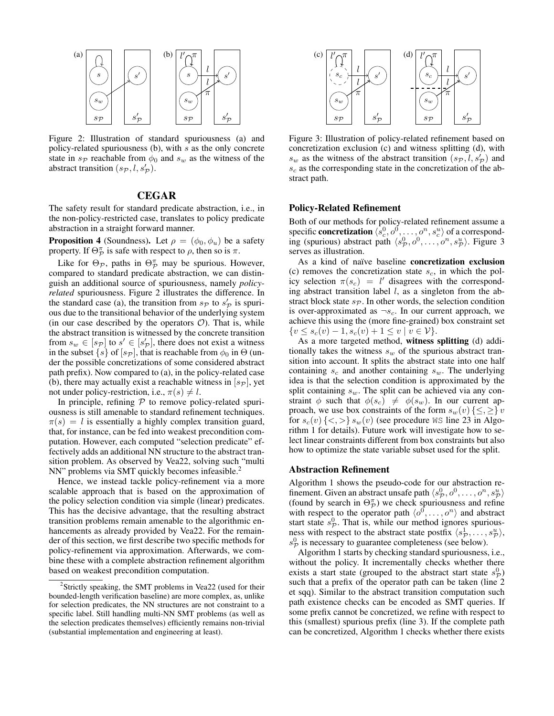

Figure 2: Illustration of standard spuriousness (a) and policy-related spuriousness (b), with s as the only concrete state in  $s_{\mathcal{P}}$  reachable from  $\phi_0$  and  $s_w$  as the witness of the abstract transition  $(s_{\mathcal{P}}, l, s_{\mathcal{P}}^{\prime}).$ 

# CEGAR

The safety result for standard predicate abstraction, i.e., in the non-policy-restricted case, translates to policy predicate abstraction in a straight forward manner.

**Proposition 4** (Soundness). Let  $\rho = (\phi_0, \phi_u)$  be a safety property. If  $\Theta_{\mathcal{P}}^{\pi}$  is safe with respect to  $\rho$ , then so is  $\pi$ .

Like for  $\Theta_{\mathcal{P}}$ , paths in  $\Theta_{\mathcal{P}}^{\pi}$  may be spurious. However, compared to standard predicate abstraction, we can distinguish an additional source of spuriousness, namely *policyrelated* spuriousness. Figure 2 illustrates the difference. In the standard case (a), the transition from  $s_p$  to  $s_p$  is spurious due to the transitional behavior of the underlying system (in our case described by the operators  $\mathcal{O}$ ). That is, while the abstract transition is witnessed by the concrete transition from  $s_w \in [s_p]$  to  $s' \in [s_p']$ , there does not exist a witness in the subset  $\{s\}$  of  $[s_{\mathcal{P}}]$ , that is reachable from  $\phi_0$  in  $\Theta$  (under the possible concretizations of some considered abstract path prefix). Now compared to (a), in the policy-related case (b), there may actually exist a reachable witness in  $[s_{\mathcal{P}}]$ , yet not under policy-restriction, i.e.,  $\pi(s) \neq l$ .

In principle, refining  $P$  to remove policy-related spuriousness is still amenable to standard refinement techniques.  $\pi(s) = l$  is essentially a highly complex transition guard, that, for instance, can be fed into weakest precondition computation. However, each computed "selection predicate" effectively adds an additional NN structure to the abstract transition problem. As observed by Vea22, solving such "multi NN" problems via SMT quickly becomes infeasible.<sup>2</sup>

Hence, we instead tackle policy-refinement via a more scalable approach that is based on the approximation of the policy selection condition via simple (linear) predicates. This has the decisive advantage, that the resulting abstract transition problems remain amenable to the algorithmic enhancements as already provided by Vea22. For the remainder of this section, we first describe two specific methods for policy-refinement via approximation. Afterwards, we combine these with a complete abstraction refinement algorithm based on weakest precondition computation.



Figure 3: Illustration of policy-related refinement based on concretization exclusion (c) and witness splitting (d), with  $s_w$  as the witness of the abstract transition  $(s_p, l, s_p')$  and  $s_c$  as the corresponding state in the concretization of the abstract path.

# Policy-Related Refinement

Both of our methods for policy-related refinement assume a specific **concretization**  $\langle \hat{s}_c^0, o^0, \dots, o^n, s_c^u \rangle$  of a corresponding (spurious) abstract path  $\langle s_p^0, o^0, \ldots, o^n, s_p^n \rangle$ . Figure 3 serves as illustration.

As a kind of naïve baseline concretization exclusion (c) removes the concretization state  $s_c$ , in which the policy selection  $\pi(s_c) = l'$  disagrees with the corresponding abstract transition label  $l$ , as a singleton from the abstract block state  $s_{\mathcal{P}}$ . In other words, the selection condition is over-approximated as  $\neg s_c$ . In our current approach, we achieve this using the (more fine-grained) box constraint set  $\{v \leq s_c(v) - 1, s_c(v) + 1 \leq v \mid v \in V\}.$ 

As a more targeted method, witness splitting (d) additionally takes the witness  $s_w$  of the spurious abstract transition into account. It splits the abstract state into one half containing  $s_c$  and another containing  $s_w$ . The underlying idea is that the selection condition is approximated by the split containing  $s_w$ . The split can be achieved via any constraint  $\phi$  such that  $\phi(s_c) \neq \phi(s_w)$ . In our current approach, we use box constraints of the form  $s_w(v) \{\leq, \geq\}$  v for  $s_c(v)$  {<, > }  $s_w(v)$  (see procedure WS line 23 in Algorithm 1 for details). Future work will investigate how to select linear constraints different from box constraints but also how to optimize the state variable subset used for the split.

### Abstraction Refinement

Algorithm 1 shows the pseudo-code for our abstraction refinement. Given an abstract unsafe path  $\langle s_p^0, o^0, \ldots, o^n, s_p^u \rangle$ (found by search in  $\Theta_{\mathcal{P}}^{(m)}$ ) we check spuriousness and refine with respect to the operator path  $\langle o^0, \ldots, o^n \rangle$  and abstract start state  $s_p^0$ . That is, while our method ignores spuriousness with respect to the abstract state postfix  $\langle s_p^1, \ldots, s_p^u \rangle$ ,  $s_{\mathcal{P}}^0$  is necessary to guarantee completeness (see below).

Algorithm 1 starts by checking standard spuriousness, i.e., without the policy. It incrementally checks whether there exists a start state (grouped to the abstract start state  $s_p^0$ ) such that a prefix of the operator path can be taken (line 2) et sqq). Similar to the abstract transition computation such path existence checks can be encoded as SMT queries. If some prefix cannot be concretized, we refine with respect to this (smallest) spurious prefix (line 3). If the complete path can be concretized, Algorithm 1 checks whether there exists

<sup>&</sup>lt;sup>2</sup>Strictly speaking, the SMT problems in Vea22 (used for their bounded-length verification baseline) are more complex, as, unlike for selection predicates, the NN structures are not constraint to a specific label. Still handling multi-NN SMT problems (as well as the selection predicates themselves) efficiently remains non-trivial (substantial implementation and engineering at least).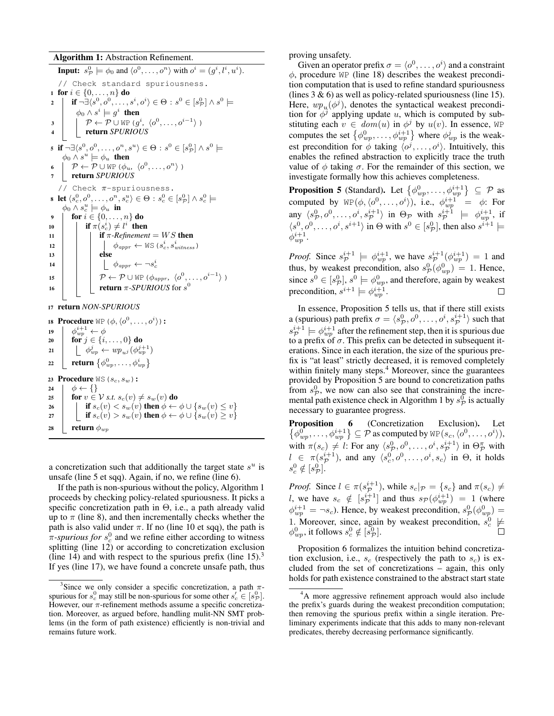#### Algorithm 1: Abstraction Refinement.

**Input:**  $s_{\mathcal{P}}^0 \models \phi_0$  and  $\langle o^0, \ldots, o^n \rangle$  with  $o^i = (g^i, l^i, u^i)$ . // Check standard spuriousness. 1 for  $i \in \{0, ..., n\}$  do  $\mathbf{a} \quad | \quad \mathbf{if} \; \neg \exists \langle s^0, o^0, \ldots, s^i, o^i \rangle \in \Theta : s^0 \in [s^0_\mathcal{P}] \land s^0 \models$  $\phi_0 \wedge s^i \models g^i$  then  $\mathfrak{z} \quad | \quad \rho \leftarrow \mathcal{P} \cup \texttt{WP}(g^i, \langle o^0, \ldots, o^{i-1} \rangle)$ <sup>4</sup> return *SPURIOUS*  $\mathbf{s} \ \ \mathbf{if} \ \neg \exists \langle s^0, o^0, \ldots, o^n, s^u \rangle \in \Theta : s^0 \in [s^0_\mathcal{P}] \land s^0 \models$  $\phi_0 \wedge s^{\hat{u}} \models \phi_u$  then 6  $\vert \mathcal{P} \leftarrow \mathcal{P} \cup \text{WP}(\phi_u, \langle o^0, \ldots, o^n \rangle)$ <sup>7</sup> return *SPURIOUS* // Check  $\pi$ -spuriousness. 8 let  $\langle s_c^0, o^0, \ldots, o^n, s_c^u \rangle \in \Theta : s_c^0 \in [s_{\mathcal{P}}^0] \wedge s_c^0 \models$  $\phi_0 \wedge s_c^u \models \phi_u$  in 9 **for**  $i \in \{0, ..., n\}$  do 10 **if**  $\pi(s_c^i) \neq l^i$  then 11 **if**  $\pi$ -Refinement = WS **then** 12  $\phi_{appr} \leftarrow \text{WS}(s_c^i, s_{witness}^i)$ 13 | | else 14  $\vert$   $\vert$   $\vert$   $\phi_{appr} \leftarrow \neg s_c^i$ 15  $\vert \vert \rho \leftarrow \mathcal{P} \cup \text{WP}(\phi_{appr}, \langle o^0, \ldots, o^{i-1} \rangle)$ 16 **c c return**  $\pi$ -*SPURIOUS* for  $s^0$ <sup>17</sup> return *NON-SPURIOUS* 18 Procedure WP  $(\phi, \langle o^0, \ldots, o^i \rangle)$ : 19  $\phi_{wp}^{i+1} \leftarrow \phi$ 20  $\left\{\begin{array}{c}\n\overline{v} \\
\overline{v} \\
\overline{v} \\
\overline{v} \\
\overline{v} \\
\end{array}\right.$   $\left\{\begin{array}{c}\n\overline{v} \\
\overline{v} \\
\overline{v} \\
\overline{v} \\
\overline{v} \\
\end{array}\right\}$   $\left\{\begin{array}{c}\n\overline{v} \\
\overline{v} \\
\overline{v} \\
\overline{v} \\
\overline{v} \\
\end{array}\right\}$  do 21  $\phi_{wp}^j \leftarrow w p_{uj} (\phi_{wp}^{j+1})$ 22 **return**  $\{\phi_{wp}^0, \ldots, \phi_{wp}^i\}$ 23 Procedure  $WS(s_c, s_w)$ : 24  $\phi \leftarrow \{\}$ 25 **for**  $v \in V$  *s.t.*  $s_c(v) \neq s_w(v)$  do 26 if  $s_c(v) < s_w(v)$  then  $\phi \leftarrow \phi \cup \{s_w(v) \leq v\}$ 27 if  $s_c(v) > s_w(v)$  then  $\phi \leftarrow \phi \cup \{s_w(v) \geq v\}$ 28 **return**  $\phi_{wp}$ 

a concretization such that additionally the target state  $s^u$  is unsafe (line 5 et sqq). Again, if no, we refine (line 6).

If the path is non-spurious without the policy, Algorithm 1 proceeds by checking policy-related spuriousness. It picks a specific concretization path in  $\Theta$ , i.e., a path already valid up to  $\pi$  (line 8), and then incrementally checks whether the path is also valid under  $\pi$ . If no (line 10 et sqq), the path is  $\pi$ -spurious for  $s_c^0$  and we refine either according to witness splitting (line 12) or according to concretization exclusion (line 14) and with respect to the spurious prefix (line  $15$ ).<sup>3</sup> If yes (line 17), we have found a concrete unsafe path, thus proving unsafety.

Given an operator prefix  $\sigma = \langle o^0, \ldots, o^i \rangle$  and a constraint  $\phi$ , procedure WP (line 18) describes the weakest precondition computation that is used to refine standard spuriousness (lines  $3 \& 6$ ) as well as policy-related spuriousness (line 15). Here,  $wp_u(\phi^j)$ , denotes the syntactical weakest precondition for  $\phi^{\hat{j}}$  applying update u, which is computed by substituting each  $v \in dom(u)$  in  $\phi^j$  by  $u(v)$ . In essence, WP computes the set  $\{\phi_{wp}^0, \dots, \phi_{wp}^{i+1}\}\$  where  $\phi_{wp}^j$  is the weakest precondition for  $\phi$  taking  $\langle o^j, \ldots, o^i \rangle$ . Intuitively, this enables the refined abstraction to explicitly trace the truth value of  $\phi$  taking  $\sigma$ . For the remainder of this section, we investigate formally how this achieves completeness.

**Proposition 5** (Standard). Let  $\{\phi_{wp}^0, \ldots, \phi_{wp}^{i+1}\}\subseteq \mathcal{P}$  as computed by  $\text{WP}(\phi, \langle o^0, \ldots, o^i \rangle)$ , i.e.,  $\phi_{wp}^{i+1} = \phi$ : For any  $\langle s_p^0, o^0, \ldots, o^i, s_p^{i+1} \rangle$  in  $\Theta_{\mathcal{P}}$  with  $s_p^{i+1} \models \phi_{wp}^{i+1}$ , if  $\langle s^0, o^0, \ldots, o^i, s^{i+1} \rangle$  in  $\Theta$  with  $s^0 \in [s^0_{\mathcal{P}}]$ , then also  $s^{i+1} \models$  $\phi_{wp}^{i+1}$ .

*Proof.* Since  $s_p^{i+1} \models \phi_{wp}^{i+1}$ , we have  $s_p^{i+1}(\phi_{wp}^{i+1}) = 1$  and thus, by weakest precondition, also  $s_{\mathcal{P}}^0(\phi_{wp}^0) = 1$ . Hence, since  $s^0 \in [s^0_{\mathcal{P}}], s^0 \models \phi^0_{wp}$ , and therefore, again by weakest precondition,  $s^{i+1} \models \phi_{wp}^{i+1}$ .

In essence, Proposition 5 tells us, that if there still exists a (spurious) path prefix  $\sigma = \langle s_{\mathcal{P}}^0, o^0, \ldots, o^i, s_{\mathcal{P}}^{i+1} \rangle$  such that  $s_{\cal P}^{i+1} \models \phi_{wp}^{i+1}$  after the refinement step, then it is spurious due to a prefix of  $\sigma$ . This prefix can be detected in subsequent iterations. Since in each iteration, the size of the spurious prefix is "at least" strictly decreased, it is removed completely within finitely many steps.<sup>4</sup> Moreover, since the guarantees provided by Proposition 5 are bound to concretization paths from  $s_{\mathcal{P}}^0$ , we now can also see that constraining the incremental path existence check in Algorithm 1 by  $s_{\mathcal{P}}^{\vec{0}}$  is actually necessary to guarantee progress.

Proposition 6  $\{\phi_{wp}^0, \ldots, \phi_{wp}^{i+1}\}\subseteq \mathcal{P}$  as computed by  $\text{WP}(s_c,\langle o^0, \ldots, o^i\rangle),$ (Concretization Exclusion). Let with  $\pi(s_c) \neq l$ : For any  $\langle s_p^0, o^0, \ldots, o^i, s_p^{i+1} \rangle$  in  $\Theta_{\mathcal{P}}^{\pi}$  with  $l \in \pi(s_{\mathcal{P}}^{i+1})$ , and any  $\langle s_c^0, o^0, \ldots, o^i, s_c \rangle$  in  $\Theta$ , it holds  $s_c^0 \notin [s_{\mathcal{P}}^0].$ 

*Proof.* Since  $l \in \pi(s_{\mathcal{P}}^{i+1})$ , while  $s_c |_{\mathcal{P}} = \{s_c\}$  and  $\pi(s_c) \neq$ *l*, we have  $s_c \notin [s_{\mathcal{P}}^{i+1}]$  and thus  $s_{\mathcal{P}}(\phi_{wp}^{i+1}) = 1$  (where  $\phi_{wp}^{i+1} = \neg s_c$ ). Hence, by weakest precondition,  $s_{\mathcal{P}}^0(\phi_{wp}^0) =$ 1. Moreover, since, again by weakest precondition,  $s_c^0 \not\models$  $\phi_{wp}^0$ , it follows  $s_c^0 \notin [s_{\mathcal{P}}^0]$ .

Proposition 6 formalizes the intuition behind concretization exclusion, i.e.,  $s_c$  (respectively the path to  $s_c$ ) is excluded from the set of concretizations – again, this only holds for path existence constrained to the abstract start state

<sup>&</sup>lt;sup>3</sup>Since we only consider a specific concretization, a path  $\pi$ spurious for  $s_c^0$  may still be non-spurious for some other  $s_c \in [s_p^0]$ . However, our  $\pi$ -refinement methods assume a specific concretization. Moreover, as argued before, handling mulit-NN SMT problems (in the form of path existence) efficiently is non-trivial and remains future work.

<sup>4</sup>A more aggressive refinement approach would also include the prefix's guards during the weakest precondition computation; then removing the spurious prefix within a single iteration. Preliminary experiments indicate that this adds to many non-relevant predicates, thereby decreasing performance significantly.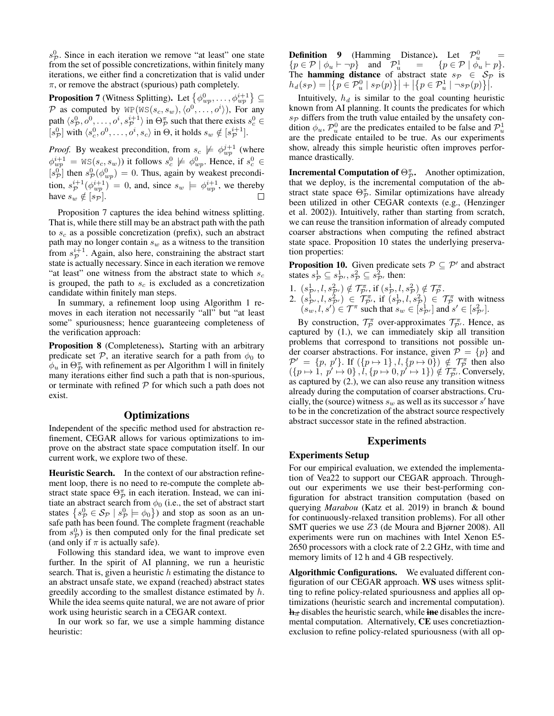$s_{\cal P}^0$ . Since in each iteration we remove "at least" one state from the set of possible concretizations, within finitely many iterations, we either find a concretization that is valid under  $\pi$ , or remove the abstract (spurious) path completely.

**Proposition 7** (Witness Splitting). Let  $\{\phi_{wp}^0, \ldots, \phi_{wp}^{i+1}\}\subseteq$ P as computed by  $WP(WS(s_c, s_w), \langle o^0, \ldots, o^i \rangle)$ , For any path  $\langle s_p^0, o^0, \ldots, o^i, s_p^{i+1} \rangle$  in  $\Theta_{\mathcal{P}}^{\pi}$  such that there exists  $s_c^0 \in$  $[s_p^0]$  with  $\langle s_c^0, o^0, \ldots, o^i, s_c \rangle$  in  $\Theta$ , it holds  $s_w \notin [s_p^{i+1}]$ .

*Proof.* By weakest precondition, from  $s_c \not\models \phi_{wp}^{j+1}$  (where  $\phi_{wp}^{i+1} = \text{WS}(s_c, s_w)$ ) it follows  $s_c^0 \not\models \phi_{wp}^0$ . Hence, if  $s_c^0 \in$  $[s_p^0]$  then  $s_p^0(\phi_{wp}^0) = 0$ . Thus, again by weakest precondition,  $s_p^{i+1}(\phi_{wp}^{i+1}) = 0$ , and, since  $s_w \models \phi_{wp}^{i+1}$ , we thereby have  $s_w \notin [s_{\mathcal{P}}]$ .

Proposition 7 captures the idea behind witness splitting. That is, while there still may be an abstract path with the path to  $s_c$  as a possible concretization (prefix), such an abstract path may no longer contain  $s_w$  as a witness to the transition from  $s_{\mathcal{P}}^{i+1}$ . Again, also here, constraining the abstract start state is actually necessary. Since in each iteration we remove "at least" one witness from the abstract state to which  $s_c$ is grouped, the path to  $s_c$  is excluded as a concretization candidate within finitely man steps.

In summary, a refinement loop using Algorithm 1 removes in each iteration not necessarily "all" but "at least some" spuriousness; hence guaranteeing completeness of the verification approach:

Proposition 8 (Completeness). Starting with an arbitrary predicate set P, an iterative search for a path from  $\phi_0$  to  $\phi_u$  in  $\Theta_{\mathcal{P}}^{\pi}$  with refinement as per Algorithm 1 will in finitely many iterations either find such a path that is non-spurious, or terminate with refined  $P$  for which such a path does not exist.

# **Optimizations**

Independent of the specific method used for abstraction refinement, CEGAR allows for various optimizations to improve on the abstract state space computation itself. In our current work, we explore two of these.

Heuristic Search. In the context of our abstraction refinement loop, there is no need to re-compute the complete abstract state space  $\Theta_{\mathcal{P}}^{\pi}$  in each iteration. Instead, we can initiate an abstract search from  $\phi_0$  (i.e., the set of abstract start states  $\{s_p^0 \in S_p \mid s_p^0 \models \phi_0\}$  and stop as soon as an unsafe path has been found. The complete fragment (reachable from  $s_{\mathcal{P}}^{0}$ ) is then computed only for the final predicate set (and only if  $\pi$  is actually safe).

Following this standard idea, we want to improve even further. In the spirit of AI planning, we run a heuristic search. That is, given a heuristic  $h$  estimating the distance to an abstract unsafe state, we expand (reached) abstract states greedily according to the smallest distance estimated by h. While the idea seems quite natural, we are not aware of prior work using heuristic search in a CEGAR context.

In our work so far, we use a simple hamming distance heuristic:

**Definition 9** (Hamming Distance). Let  $\mathcal{P}_u^0$  =  ${p \in \mathcal{P} \mid \phi_u \vdash \neg p}$  and  $\mathcal{P}^1_u = {p \in \mathcal{P} \mid \phi_u' \vdash p}.$ The **hamming distance** of abstract state  $s_p \in S_p$  is  $h_d(s_{\mathcal{P}}) = \left| \left\{ p \in \mathcal{P}_u^0 \mid s_{\mathcal{P}}(p) \right\} \right| + \left| \left\{ p \in \mathcal{P}_u^1 \mid \neg s_{\mathcal{P}}(p) \right\} \right|.$ 

Intuitively,  $h_d$  is similar to the goal counting heuristic known from AI planning. It counts the predicates for which  $s_{\mathcal{P}}$  differs from the truth value entailed by the unsafety condition  $\phi_u$ ,  $\mathcal{P}_u^0$  are the predicates entailed to be false and  $\mathcal{P}_u^1$ are the predicate entailed to be true. As our experiments show, already this simple heuristic often improves performance drastically.

**Incremental Computation of**  $\Theta_{\mathcal{P}}^{\pi}$ **.** Another optimization, that we deploy, is the incremental computation of the abstract state space  $\Theta_{\mathcal{P}}^{\pi}$ . Similar optimizations have already been utilized in other CEGAR contexts (e.g., (Henzinger et al. 2002)). Intuitively, rather than starting from scratch, we can reuse the transition information of already computed coarser abstractions when computing the refined abstract state space. Proposition 10 states the underlying preservation properties:

**Proposition 10.** Given predicate sets  $P \subseteq P'$  and abstract states  $s^1_{\mathcal{P}} \subseteq s^1_{\mathcal{P}'}, s^2_{\mathcal{P}} \subseteq s^2_{\mathcal{P}'}$  then:

1.  $(s_{\mathcal{P}}^1, l, s_{\mathcal{P}}^2) \notin \mathcal{T}_{\mathcal{P}}^{\pi}$ , if  $(s_{\mathcal{P}}^1, l, s_{\mathcal{P}}^2) \notin \mathcal{T}_{\mathcal{P}}^{\pi}$ . 2.  $(s_p^1, l, s_p^2) \in \mathcal{T}_{\mathcal{P}}^{\pi}$ , if  $(s_p^1, l, s_p^2) \in \mathcal{T}_{\mathcal{P}}^{\pi}$  with witness  $(s_w, l, s') \in \mathcal{T}^{\pi}$  such that  $s_w \in [s_{\mathcal{P}'}^1]$  and  $s' \in [s_{\mathcal{P}'}^2]$ .

By construction,  $\mathcal{T}_{\mathcal{P}}^{\pi}$  over-approximates  $\mathcal{T}_{\mathcal{P}}^{\pi}$ . Hence, as captured by (1.), we can immediately skip all transition problems that correspond to transitions not possible under coarser abstractions. For instance, given  $\mathcal{P} = \{p\}$  and  $\mathcal{P}' = \{p, p'\}.$  If  $(\{p \mapsto 1\}, l, \{p \mapsto 0\}) \notin \mathcal{T}_{\mathcal{P}}^{\pi}$  then also  $({p \mapsto 1}, p' \mapsto 0\}$ ,  $\tilde{l}, {p \mapsto 0}, p' \mapsto 1$  $\tilde{} \notin \mathcal{T}_{\mathcal{P}'}^{\pi}$ . Conversely, as captured by (2.), we can also reuse any transition witness already during the computation of coarser abstractions. Crucially, the (source) witness  $s_w$  as well as its successor s' have to be in the concretization of the abstract source respectively abstract successor state in the refined abstraction.

### Experiments

### Experiments Setup

For our empirical evaluation, we extended the implementation of Vea22 to support our CEGAR approach. Throughout our experiments we use their best-performing configuration for abstract transition computation (based on querying *Marabou* (Katz et al. 2019) in branch & bound for continuously-relaxed transition problems). For all other SMT queries we use Z3 (de Moura and Bjørner 2008). All experiments were run on machines with Intel Xenon E5- 2650 processors with a clock rate of 2.2 GHz, with time and memory limits of 12 h and 4 GB respectively.

Algorithmic Configurations. We evaluated different configuration of our CEGAR approach. WS uses witness splitting to refine policy-related spuriousness and applies all optimizations (heuristic search and incremental computation).  $\mathbf{h}_{d}$  disables the heuristic search, while ine disables the incremental computation. Alternatively, CE uses concretiaztionexclusion to refine policy-related spuriousness (with all op-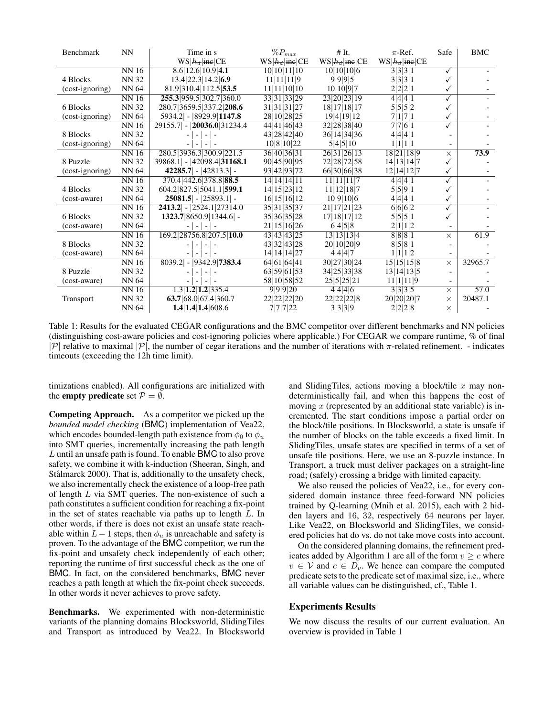| Benchmark       | <b>NN</b>    | Time in s                                | $\%P_{max}$      | # It.                   | $\pi$ -Ref.      | Safe     | <b>BMC</b> |
|-----------------|--------------|------------------------------------------|------------------|-------------------------|------------------|----------|------------|
|                 |              | $WS h_d $ ine CE                         | $WS h_d $ ine CE | $WS h_d $ ine CE        | $WS h_d $ ine CE |          |            |
|                 | <b>NN16</b>  | 8.6 12.6 10.9 4.1                        | 10 10 11 10      | 10 10 10 6              | 3 3 3 1          |          |            |
| 4 Blocks        | <b>NN 32</b> | 13.4 22.3 14.2 6.9                       | 11 11 11 9       | 9 9 9 5                 | 3 3 3 1          |          |            |
| (cost-ignoring) | NN 64        | 81.9 310.4 112.5 53.5                    | 11 11 10 10      | 10 10 9 7               | 2 2 2 1          |          |            |
|                 | <b>NN16</b>  | 255.3 959.5 302.7 360.0                  | 33 31 33 29      | 23 20 23 19             | 4 4 4 1          |          |            |
| 6 Blocks        | <b>NN 32</b> | 280.7 3659.5 337.2 208.6                 | 31 31 31 27      | 18 17 18 17             | 5 5 5 2          |          |            |
| (cost-ignoring) | NN 64        | 5934.2 - 8929.9 1147.8                   | 28 10 28 25      | 19 4 19 12              | 7 1 7 1          |          |            |
|                 | <b>NN16</b>  | $29155.7$ - $ 20036.0 31234.4$           | 44 41 46 43      | 32 28 38 40             | 7 7 6 1          |          |            |
| 8 Blocks        | <b>NN 32</b> |                                          | 43 28 42 40      | 36 14 34 36             | 4 4 4 1          |          |            |
| (cost-ignoring) | <b>NN 64</b> |                                          | 10 8 10 22       | 5 4 5 10                | 1 1 1 1          |          |            |
|                 | <b>NN16</b>  | 280.5 3936.3 300.9 221.5                 | 36 40 36 31      | 26 31 26 13             | 18 21 18 9       | $\times$ | 73.9       |
| 8 Puzzle        | <b>NN 32</b> | $39868.1$   - $ 42098.4 $ <b>31168.1</b> | 90 45 90 95      | 72 28 72 58             | 14 13 14 7       |          |            |
| (cost-ignoring) | <b>NN 64</b> | $ 42285.7  -  42813.3  -$                | 93 42 93 72      | 66 30 66 38             | 12 14 12 7       |          |            |
|                 | <b>NN16</b>  | 370.4 442.6 378.8 88.5                   | 14 14 14 11      | 11 11 11 7              | 4 4 4 1          |          |            |
| 4 Blocks        | <b>NN 32</b> | 604.2 827.5 5041.1 599.1                 | 14 15 23 12      | 11 12 18 7              | 5 5 9 1          |          |            |
| (cost-aware)    | <b>NN 64</b> | $25081.5$   - $ 25893.1 $ -              | 16 15 16 12      | 10 9 10 6               | 4 4 4 1          |          |            |
|                 | <b>NN16</b>  | $2413.2$ - $ 2524.1 27314.0$             | 35 31 35 37      | 21 17 21 23             | 6 6 6 2          |          |            |
| 6 Blocks        | <b>NN 32</b> | 1323.7 8650.9 1344.6 -                   | 35 36 35 28      | 17 18 17 12             | 5 5 5 1          |          |            |
| (cost-aware)    | <b>NN 64</b> | $\overline{ }$<br>$-1-$                  | 21 15 16 26      | 6 4 5 8                 | 2 1 1 2          |          |            |
|                 | <b>NN16</b>  | 169.2 28756.8 207.5 10.0                 | 43 43 43 25      | $\overline{13 13 13 4}$ | 8 8 8 1          | $\times$ | 61.9       |
| 8 Blocks        | <b>NN 32</b> | $\overline{\phantom{a}}$                 | 43 32 43 28      | 20 10 20 9              | 8 5 8 1          |          |            |
| (cost-aware)    | <b>NN 64</b> |                                          | 14 14 14 27      | 4 4 4 7                 | 1 1 1 2          |          |            |
|                 | <b>NN16</b>  | $8039.2$ - $ 9342.9 7383.4$              | 64 61 64 41      | 30 27 30 24             | 15 15 15 8       | $\times$ | 32965.7    |
| 8 Puzzle        | <b>NN 32</b> |                                          | 63 59 61 53      | 34 25 33 38             | 13 14 13 5       |          |            |
| (cost-aware)    | <b>NN 64</b> |                                          | 58 10 58 52      | 25 5 25 21              | 11 1 11 9        |          |            |
|                 | <b>NN16</b>  | $\overline{1.3 1.2 1.2 335.4}$           | 999920           | 4 4 4 6                 | 3 3 3 5          | $\times$ | 57.0       |
| Transport       | <b>NN 32</b> | 63.7 68.0 67.4 360.7                     | 22 22 22 20      | 22 22 22 8              | 20 20 20 7       | $\times$ | 20487.1    |
|                 | <b>NN 64</b> | 1.4 1.4 1.4 608.6                        | 7 7 7 22         | 3 3 3 9                 | 2 2 2 8          | $\times$ |            |

Table 1: Results for the evaluated CEGAR configurations and the BMC competitor over different benchmarks and NN policies (distinguishing cost-aware policies and cost-ignoring policies where applicable.) For CEGAR we compare runtime, % of final |P| relative to maximal |P|, the number of cegar iterations and the number of iterations with  $\pi$ -related refinement. - indicates timeouts (exceeding the 12h time limit).

timizations enabled). All configurations are initialized with the **empty predicate** set  $P = \emptyset$ .

Competing Approach. As a competitor we picked up the *bounded model checking* (BMC) implementation of Vea22, which encodes bounded-length path existence from  $\phi_0$  to  $\phi_u$ into SMT queries, incrementally increasing the path length  $L$  until an unsafe path is found. To enable BMC to also prove safety, we combine it with k-induction (Sheeran, Singh, and Stålmarck 2000). That is, additionally to the unsafety check, we also incrementally check the existence of a loop-free path of length L via SMT queries. The non-existence of such a path constitutes a sufficient condition for reaching a fix-point in the set of states reachable via paths up to length L. In other words, if there is does not exist an unsafe state reachable within  $L - 1$  steps, then  $\phi_u$  is unreachable and safety is proven. To the advantage of the BMC competitor, we run the fix-point and unsafety check independently of each other; reporting the runtime of first successful check as the one of BMC. In fact, on the considered benchmarks, BMC never reaches a path length at which the fix-point check succeeds. In other words it never achieves to prove safety.

Benchmarks. We experimented with non-deterministic variants of the planning domains Blocksworld, SlidingTiles and Transport as introduced by Vea22. In Blocksworld

and SlidingTiles, actions moving a block/tile  $x$  may nondeterministically fail, and when this happens the cost of moving  $x$  (represented by an additional state variable) is incremented. The start conditions impose a partial order on the block/tile positions. In Blocksworld, a state is unsafe if the number of blocks on the table exceeds a fixed limit. In SlidingTiles, unsafe states are specified in terms of a set of unsafe tile positions. Here, we use an 8-puzzle instance. In Transport, a truck must deliver packages on a straight-line road; (safely) crossing a bridge with limited capacity.

We also reused the policies of Vea22, *i.e.*, for every considered domain instance three feed-forward NN policies trained by Q-learning (Mnih et al. 2015), each with 2 hidden layers and 16, 32, respectively 64 neurons per layer. Like Vea22, on Blocksworld and SlidingTiles, we considered policies hat do vs. do not take move costs into account.

On the considered planning domains, the refinement predicates added by Algorithm 1 are all of the form  $v > c$  where  $v \in V$  and  $c \in D_v$ . We hence can compare the computed predicate sets to the predicate set of maximal size, i.e., where all variable values can be distinguished, cf., Table 1.

# Experiments Results

We now discuss the results of our current evaluation. An overview is provided in Table 1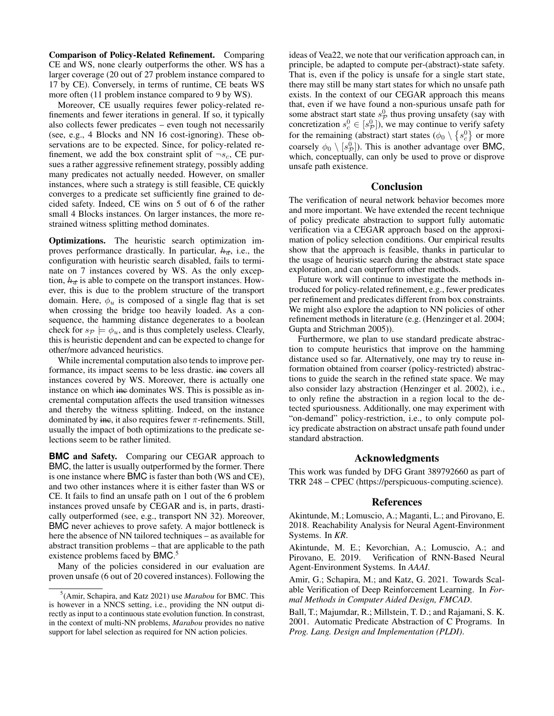Comparison of Policy-Related Refinement. Comparing CE and WS, none clearly outperforms the other. WS has a larger coverage (20 out of 27 problem instance compared to 17 by CE). Conversely, in terms of runtime, CE beats WS more often (11 problem instance compared to 9 by WS).

Moreover, CE usually requires fewer policy-related refinements and fewer iterations in general. If so, it typically also collects fewer predicates – even tough not necessarily (see, e.g., 4 Blocks and NN 16 cost-ignoring). These observations are to be expected. Since, for policy-related refinement, we add the box constraint split of  $\neg s_c$ , CE pursues a rather aggressive refinement strategy, possibly adding many predicates not actually needed. However, on smaller instances, where such a strategy is still feasible, CE quickly converges to a predicate set sufficiently fine grained to decided safety. Indeed, CE wins on 5 out of 6 of the rather small 4 Blocks instances. On larger instances, the more restrained witness splitting method dominates.

Optimizations. The heuristic search optimization improves performance drastically. In particular,  $h_{\overline{d}}$ , i.e., the configuration with heuristic search disabled, fails to terminate on 7 instances covered by WS. As the only exception,  $h_d$  is able to compete on the transport instances. However, this is due to the problem structure of the transport domain. Here,  $\phi_u$  is composed of a single flag that is set when crossing the bridge too heavily loaded. As a consequence, the hamming distance degenerates to a boolean check for  $s_p \models \phi_u$ , and is thus completely useless. Clearly, this is heuristic dependent and can be expected to change for other/more advanced heuristics.

While incremental computation also tends to improve performance, its impact seems to be less drastic. ine covers all instances covered by WS. Moreover, there is actually one instance on which inc dominates WS. This is possible as incremental computation affects the used transition witnesses and thereby the witness splitting. Indeed, on the instance dominated by ine, it also requires fewer  $\pi$ -refinements. Still, usually the impact of both optimizations to the predicate selections seem to be rather limited.

**BMC** and Safety. Comparing our CEGAR approach to BMC, the latter is usually outperformed by the former. There is one instance where BMC is faster than both (WS and CE), and two other instances where it is either faster than WS or CE. It fails to find an unsafe path on 1 out of the 6 problem instances proved unsafe by CEGAR and is, in parts, drastically outperformed (see, e.g., transport NN 32). Moreover, BMC never achieves to prove safety. A major bottleneck is here the absence of NN tailored techniques – as available for abstract transition problems – that are applicable to the path existence problems faced by BMC.<sup>5</sup>

Many of the policies considered in our evaluation are proven unsafe (6 out of 20 covered instances). Following the

ideas of Vea22, we note that our verification approach can, in principle, be adapted to compute per-(abstract)-state safety. That is, even if the policy is unsafe for a single start state, there may still be many start states for which no unsafe path exists. In the context of our CEGAR approach this means that, even if we have found a non-spurious unsafe path for some abstract start state  $s_{\mathcal{P}}^{0}$  thus proving unsafety (say with concretization  $s_c^0 \in [s_p^0]$ ), we may continue to verify safety for the remaining (abstract) start states  $(\phi_0 \setminus \{s_c^0\})$  or more coarsely  $\phi_0 \setminus [s^0_{\mathcal{P}}]$ ). This is another advantage over BMC, which, conceptually, can only be used to prove or disprove unsafe path existence.

# Conclusion

The verification of neural network behavior becomes more and more important. We have extended the recent technique of policy predicate abstraction to support fully automatic verification via a CEGAR approach based on the approximation of policy selection conditions. Our empirical results show that the approach is feasible, thanks in particular to the usage of heuristic search during the abstract state space exploration, and can outperform other methods.

Future work will continue to investigate the methods introduced for policy-related refinement, e.g., fewer predicates per refinement and predicates different from box constraints. We might also explore the adaption to NN policies of other refinement methods in literature (e.g. (Henzinger et al. 2004; Gupta and Strichman 2005)).

Furthermore, we plan to use standard predicate abstraction to compute heuristics that improve on the hamming distance used so far. Alternatively, one may try to reuse information obtained from coarser (policy-restricted) abstractions to guide the search in the refined state space. We may also consider lazy abstraction (Henzinger et al. 2002), i.e., to only refine the abstraction in a region local to the detected spuriousness. Additionally, one may experiment with "on-demand" policy-restriction, i.e., to only compute policy predicate abstraction on abstract unsafe path found under standard abstraction.

# Acknowledgments

This work was funded by DFG Grant 389792660 as part of TRR 248 – CPEC (https://perspicuous-computing.science).

## References

Akintunde, M.; Lomuscio, A.; Maganti, L.; and Pirovano, E. 2018. Reachability Analysis for Neural Agent-Environment Systems. In *KR*.

Akintunde, M. E.; Kevorchian, A.; Lomuscio, A.; and Pirovano, E. 2019. Verification of RNN-Based Neural Agent-Environment Systems. In *AAAI*.

Amir, G.; Schapira, M.; and Katz, G. 2021. Towards Scalable Verification of Deep Reinforcement Learning. In *Formal Methods in Computer Aided Design, FMCAD*.

Ball, T.; Majumdar, R.; Millstein, T. D.; and Rajamani, S. K. 2001. Automatic Predicate Abstraction of C Programs. In *Prog. Lang. Design and Implementation (PLDI)*.

<sup>5</sup> (Amir, Schapira, and Katz 2021) use *Marabou* for BMC. This is however in a NNCS setting, i.e., providing the NN output directly as input to a continuous state evolution function. In constrast, in the context of multi-NN problems, *Marabou* provides no native support for label selection as required for NN action policies.